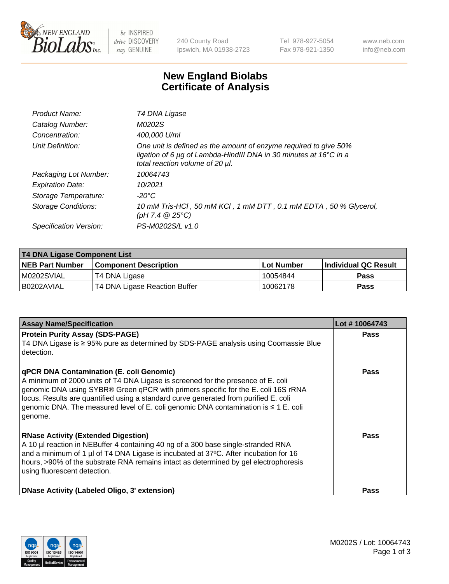

 $be$  INSPIRED drive DISCOVERY stay GENUINE

240 County Road Ipswich, MA 01938-2723 Tel 978-927-5054 Fax 978-921-1350 www.neb.com info@neb.com

## **New England Biolabs Certificate of Analysis**

| Product Name:           | T4 DNA Ligase                                                                                                                                                            |
|-------------------------|--------------------------------------------------------------------------------------------------------------------------------------------------------------------------|
| Catalog Number:         | M0202S                                                                                                                                                                   |
| Concentration:          | 400,000 U/ml                                                                                                                                                             |
| Unit Definition:        | One unit is defined as the amount of enzyme required to give 50%<br>ligation of 6 µg of Lambda-HindIII DNA in 30 minutes at 16°C in a<br>total reaction volume of 20 µl. |
| Packaging Lot Number:   | 10064743                                                                                                                                                                 |
| <b>Expiration Date:</b> | 10/2021                                                                                                                                                                  |
| Storage Temperature:    | $-20^{\circ}$ C                                                                                                                                                          |
| Storage Conditions:     | 10 mM Tris-HCl, 50 mM KCl, 1 mM DTT, 0.1 mM EDTA, 50 % Glycerol,<br>$(pH 7.4 \ @ 25^{\circ}C)$                                                                           |
| Specification Version:  | PS-M0202S/L v1.0                                                                                                                                                         |

| <b>T4 DNA Ligase Component List</b> |                               |             |                             |  |
|-------------------------------------|-------------------------------|-------------|-----------------------------|--|
| <b>NEB Part Number</b>              | <b>Component Description</b>  | ∣Lot Number | <b>Individual QC Result</b> |  |
| M0202SVIAL                          | T4 DNA Ligase                 | 10054844    | <b>Pass</b>                 |  |
| B0202AVIAL                          | T4 DNA Ligase Reaction Buffer | 10062178    | <b>Pass</b>                 |  |

| <b>Assay Name/Specification</b>                                                                                                                                                                                                                                                                                                                                                                                  | Lot #10064743 |
|------------------------------------------------------------------------------------------------------------------------------------------------------------------------------------------------------------------------------------------------------------------------------------------------------------------------------------------------------------------------------------------------------------------|---------------|
| <b>Protein Purity Assay (SDS-PAGE)</b><br>T4 DNA Ligase is ≥ 95% pure as determined by SDS-PAGE analysis using Coomassie Blue<br>detection.                                                                                                                                                                                                                                                                      | <b>Pass</b>   |
| qPCR DNA Contamination (E. coli Genomic)<br>A minimum of 2000 units of T4 DNA Ligase is screened for the presence of E. coli<br>genomic DNA using SYBR® Green qPCR with primers specific for the E. coli 16S rRNA<br>locus. Results are quantified using a standard curve generated from purified E. coli<br>genomic DNA. The measured level of E. coli genomic DNA contamination is $\leq 1$ E. coli<br>genome. | <b>Pass</b>   |
| <b>RNase Activity (Extended Digestion)</b><br>A 10 µl reaction in NEBuffer 4 containing 40 ng of a 300 base single-stranded RNA<br>and a minimum of 1 µl of T4 DNA Ligase is incubated at 37°C. After incubation for 16<br>hours, >90% of the substrate RNA remains intact as determined by gel electrophoresis<br>using fluorescent detection.                                                                  | Pass          |
| <b>DNase Activity (Labeled Oligo, 3' extension)</b>                                                                                                                                                                                                                                                                                                                                                              | Pass          |

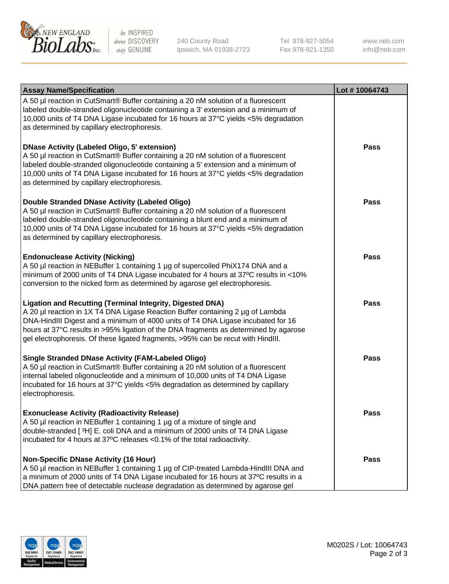

be INSPIRED drive DISCOVERY stay GENUINE

240 County Road Ipswich, MA 01938-2723 Tel 978-927-5054 Fax 978-921-1350

www.neb.com info@neb.com

| <b>Assay Name/Specification</b>                                                                                                                                                                                                                                                                                                                                                                                    | Lot #10064743 |
|--------------------------------------------------------------------------------------------------------------------------------------------------------------------------------------------------------------------------------------------------------------------------------------------------------------------------------------------------------------------------------------------------------------------|---------------|
| A 50 µl reaction in CutSmart® Buffer containing a 20 nM solution of a fluorescent<br>labeled double-stranded oligonucleotide containing a 3' extension and a minimum of<br>10,000 units of T4 DNA Ligase incubated for 16 hours at 37°C yields <5% degradation<br>as determined by capillary electrophoresis.                                                                                                      |               |
| <b>DNase Activity (Labeled Oligo, 5' extension)</b><br>A 50 µl reaction in CutSmart® Buffer containing a 20 nM solution of a fluorescent<br>labeled double-stranded oligonucleotide containing a 5' extension and a minimum of<br>10,000 units of T4 DNA Ligase incubated for 16 hours at 37°C yields <5% degradation<br>as determined by capillary electrophoresis.                                               | Pass          |
| Double Stranded DNase Activity (Labeled Oligo)<br>A 50 µl reaction in CutSmart® Buffer containing a 20 nM solution of a fluorescent<br>labeled double-stranded oligonucleotide containing a blunt end and a minimum of<br>10,000 units of T4 DNA Ligase incubated for 16 hours at 37°C yields <5% degradation<br>as determined by capillary electrophoresis.                                                       | Pass          |
| <b>Endonuclease Activity (Nicking)</b><br>A 50 µl reaction in NEBuffer 1 containing 1 µg of supercoiled PhiX174 DNA and a<br>minimum of 2000 units of T4 DNA Ligase incubated for 4 hours at 37°C results in <10%<br>conversion to the nicked form as determined by agarose gel electrophoresis.                                                                                                                   | <b>Pass</b>   |
| <b>Ligation and Recutting (Terminal Integrity, Digested DNA)</b><br>A 20 µl reaction in 1X T4 DNA Ligase Reaction Buffer containing 2 µg of Lambda<br>DNA-HindIII Digest and a minimum of 4000 units of T4 DNA Ligase incubated for 16<br>hours at 37°C results in >95% ligation of the DNA fragments as determined by agarose<br>gel electrophoresis. Of these ligated fragments, >95% can be recut with HindIII. | <b>Pass</b>   |
| <b>Single Stranded DNase Activity (FAM-Labeled Oligo)</b><br>A 50 µl reaction in CutSmart® Buffer containing a 20 nM solution of a fluorescent<br>internal labeled oligonucleotide and a minimum of 10,000 units of T4 DNA Ligase<br>incubated for 16 hours at 37°C yields <5% degradation as determined by capillary<br>electrophoresis.                                                                          | Pass          |
| <b>Exonuclease Activity (Radioactivity Release)</b><br>A 50 µl reaction in NEBuffer 1 containing 1 µg of a mixture of single and<br>double-stranded [3H] E. coli DNA and a minimum of 2000 units of T4 DNA Ligase<br>incubated for 4 hours at 37°C releases <0.1% of the total radioactivity.                                                                                                                      | <b>Pass</b>   |
| <b>Non-Specific DNase Activity (16 Hour)</b><br>A 50 µl reaction in NEBuffer 1 containing 1 µg of CIP-treated Lambda-HindIII DNA and<br>a minimum of 2000 units of T4 DNA Ligase incubated for 16 hours at 37°C results in a<br>DNA pattern free of detectable nuclease degradation as determined by agarose gel                                                                                                   | Pass          |